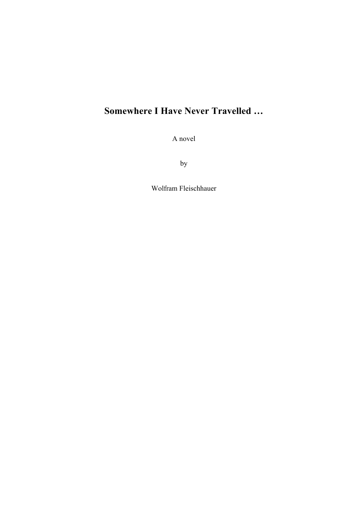## **Somewhere I Have Never Travelled …**

A novel

by

Wolfram Fleischhauer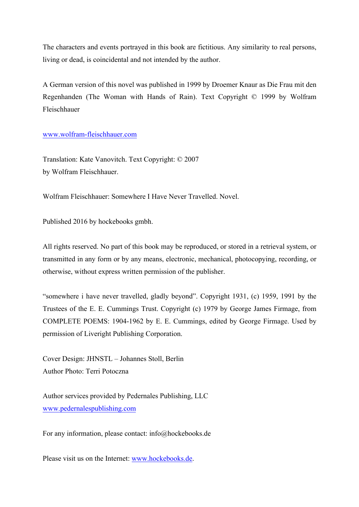The characters and events portrayed in this book are fictitious. Any similarity to real persons, living or dead, is coincidental and not intended by the author.

A German version of this novel was published in 1999 by Droemer Knaur as Die Frau mit den Regenhanden (The Woman with Hands of Rain). Text Copyright © 1999 by Wolfram Fleischhauer

www.wolfram-fleischhauer.com

Translation: Kate Vanovitch. Text Copyright: © 2007 by Wolfram Fleischhauer.

Wolfram Fleischhauer: Somewhere I Have Never Travelled. Novel.

Published 2016 by hockebooks gmbh.

All rights reserved. No part of this book may be reproduced, or stored in a retrieval system, or transmitted in any form or by any means, electronic, mechanical, photocopying, recording, or otherwise, without express written permission of the publisher.

"somewhere i have never travelled, gladly beyond". Copyright 1931, (c) 1959, 1991 by the Trustees of the E. E. Cummings Trust. Copyright (c) 1979 by George James Firmage, from COMPLETE POEMS: 1904-1962 by E. E. Cummings, edited by George Firmage. Used by permission of Liveright Publishing Corporation.

Cover Design: JHNSTL – Johannes Stoll, Berlin Author Photo: Terri Potoczna

Author services provided by Pedernales Publishing, LLC www.pedernalespublishing.com

For any information, please contact: info@hockebooks.de

Please visit us on the Internet: www.hockebooks.de.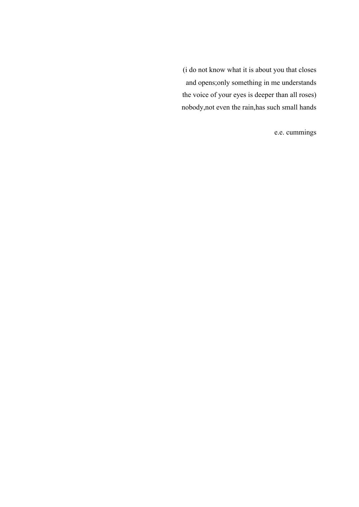(i do not know what it is about you that closes and opens;only something in me understands the voice of your eyes is deeper than all roses) nobody,not even the rain,has such small hands

e.e. cummings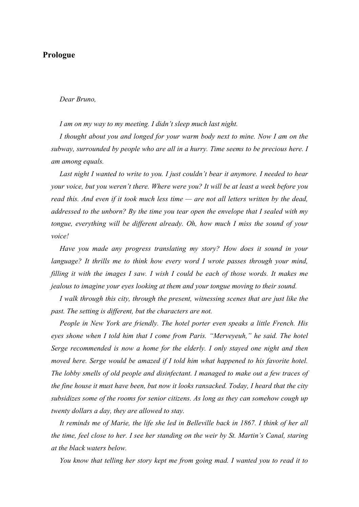## **Prologue**

## *Dear Bruno,*

*I am on my way to my meeting. I didn't sleep much last night.* 

*I thought about you and longed for your warm body next to mine. Now I am on the subway, surrounded by people who are all in a hurry. Time seems to be precious here. I am among equals.* 

*Last night I wanted to write to you. I just couldn't bear it anymore. I needed to hear your voice, but you weren't there. Where were you? It will be at least a week before you read this. And even if it took much less time — are not all letters written by the dead, addressed to the unborn? By the time you tear open the envelope that I sealed with my tongue, everything will be different already. Oh, how much I miss the sound of your voice!* 

*Have you made any progress translating my story? How does it sound in your language? It thrills me to think how every word I wrote passes through your mind, filling it with the images I saw. I wish I could be each of those words. It makes me jealous to imagine your eyes looking at them and your tongue moving to their sound.*

*I walk through this city, through the present, witnessing scenes that are just like the past. The setting is different, but the characters are not.*

*People in New York are friendly. The hotel porter even speaks a little French. His eyes shone when I told him that I come from Paris. "Merveyeuh," he said. The hotel Serge recommended is now a home for the elderly. I only stayed one night and then moved here. Serge would be amazed if I told him what happened to his favorite hotel. The lobby smells of old people and disinfectant. I managed to make out a few traces of the fine house it must have been, but now it looks ransacked. Today, I heard that the city subsidizes some of the rooms for senior citizens. As long as they can somehow cough up twenty dollars a day, they are allowed to stay.*

*It reminds me of Marie, the life she led in Belleville back in 1867. I think of her all the time, feel close to her. I see her standing on the weir by St. Martin's Canal, staring at the black waters below.*

*You know that telling her story kept me from going mad. I wanted you to read it to*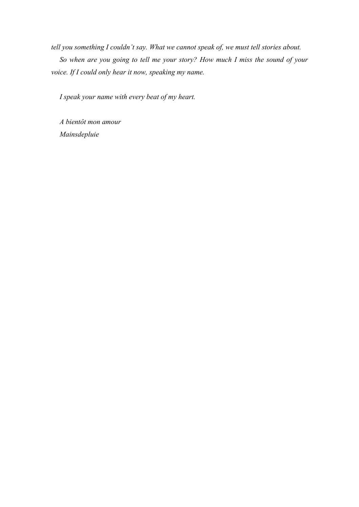*tell you something I couldn't say. What we cannot speak of, we must tell stories about. So when are you going to tell me your story? How much I miss the sound of your voice. If I could only hear it now, speaking my name.*

*I speak your name with every beat of my heart.* 

*A bientôt mon amour Mainsdepluie*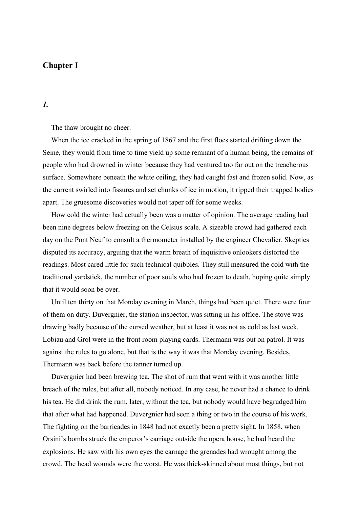## **Chapter I**

*1.*

The thaw brought no cheer.

When the ice cracked in the spring of 1867 and the first floes started drifting down the Seine, they would from time to time yield up some remnant of a human being, the remains of people who had drowned in winter because they had ventured too far out on the treacherous surface. Somewhere beneath the white ceiling, they had caught fast and frozen solid. Now, as the current swirled into fissures and set chunks of ice in motion, it ripped their trapped bodies apart. The gruesome discoveries would not taper off for some weeks.

How cold the winter had actually been was a matter of opinion. The average reading had been nine degrees below freezing on the Celsius scale. A sizeable crowd had gathered each day on the Pont Neuf to consult a thermometer installed by the engineer Chevalier. Skeptics disputed its accuracy, arguing that the warm breath of inquisitive onlookers distorted the readings. Most cared little for such technical quibbles. They still measured the cold with the traditional yardstick, the number of poor souls who had frozen to death, hoping quite simply that it would soon be over.

Until ten thirty on that Monday evening in March, things had been quiet. There were four of them on duty. Duvergnier, the station inspector, was sitting in his office. The stove was drawing badly because of the cursed weather, but at least it was not as cold as last week. Lobiau and Grol were in the front room playing cards. Thermann was out on patrol. It was against the rules to go alone, but that is the way it was that Monday evening. Besides, Thermann was back before the tanner turned up.

Duvergnier had been brewing tea. The shot of rum that went with it was another little breach of the rules, but after all, nobody noticed. In any case, he never had a chance to drink his tea. He did drink the rum, later, without the tea, but nobody would have begrudged him that after what had happened. Duvergnier had seen a thing or two in the course of his work. The fighting on the barricades in 1848 had not exactly been a pretty sight. In 1858, when Orsini's bombs struck the emperor's carriage outside the opera house, he had heard the explosions. He saw with his own eyes the carnage the grenades had wrought among the crowd. The head wounds were the worst. He was thick-skinned about most things, but not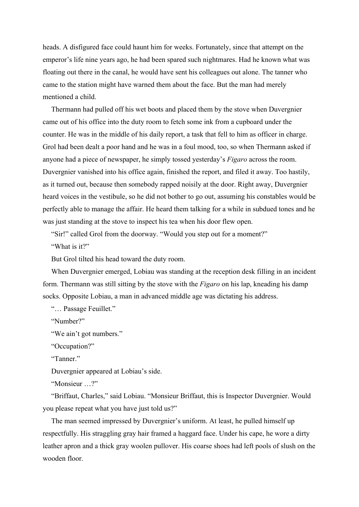heads. A disfigured face could haunt him for weeks. Fortunately, since that attempt on the emperor's life nine years ago, he had been spared such nightmares. Had he known what was floating out there in the canal, he would have sent his colleagues out alone. The tanner who came to the station might have warned them about the face. But the man had merely mentioned a child.

Thermann had pulled off his wet boots and placed them by the stove when Duvergnier came out of his office into the duty room to fetch some ink from a cupboard under the counter. He was in the middle of his daily report, a task that fell to him as officer in charge. Grol had been dealt a poor hand and he was in a foul mood, too, so when Thermann asked if anyone had a piece of newspaper, he simply tossed yesterday's *Figaro* across the room. Duvergnier vanished into his office again, finished the report, and filed it away. Too hastily, as it turned out, because then somebody rapped noisily at the door. Right away, Duvergnier heard voices in the vestibule, so he did not bother to go out, assuming his constables would be perfectly able to manage the affair. He heard them talking for a while in subdued tones and he was just standing at the stove to inspect his tea when his door flew open.

"Sir!" called Grol from the doorway. "Would you step out for a moment?"

"What is it?"

But Grol tilted his head toward the duty room.

When Duvergnier emerged, Lobiau was standing at the reception desk filling in an incident form. Thermann was still sitting by the stove with the *Figaro* on his lap, kneading his damp socks. Opposite Lobiau, a man in advanced middle age was dictating his address.

"… Passage Feuillet."

"Number?"

"We ain't got numbers."

"Occupation?"

"Tanner."

Duvergnier appeared at Lobiau's side.

"Monsieur …?"

"Briffaut, Charles," said Lobiau. "Monsieur Briffaut, this is Inspector Duvergnier. Would you please repeat what you have just told us?"

The man seemed impressed by Duvergnier's uniform. At least, he pulled himself up respectfully. His straggling gray hair framed a haggard face. Under his cape, he wore a dirty leather apron and a thick gray woolen pullover. His coarse shoes had left pools of slush on the wooden floor.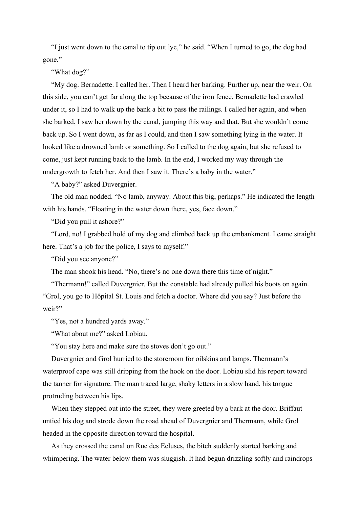"I just went down to the canal to tip out lye," he said. "When I turned to go, the dog had gone."

"What dog?"

"My dog. Bernadette. I called her. Then I heard her barking. Further up, near the weir. On this side, you can't get far along the top because of the iron fence. Bernadette had crawled under it, so I had to walk up the bank a bit to pass the railings. I called her again, and when she barked, I saw her down by the canal, jumping this way and that. But she wouldn't come back up. So I went down, as far as I could, and then I saw something lying in the water. It looked like a drowned lamb or something. So I called to the dog again, but she refused to come, just kept running back to the lamb. In the end, I worked my way through the undergrowth to fetch her. And then I saw it. There's a baby in the water."

"A baby?" asked Duvergnier.

The old man nodded. "No lamb, anyway. About this big, perhaps." He indicated the length with his hands. "Floating in the water down there, yes, face down."

"Did you pull it ashore?"

"Lord, no! I grabbed hold of my dog and climbed back up the embankment. I came straight here. That's a job for the police, I says to myself."

"Did you see anyone?"

The man shook his head. "No, there's no one down there this time of night."

"Thermann!" called Duvergnier. But the constable had already pulled his boots on again. "Grol, you go to Hôpital St. Louis and fetch a doctor. Where did you say? Just before the weir?"

"Yes, not a hundred yards away."

"What about me?" asked Lobiau.

"You stay here and make sure the stoves don't go out."

Duvergnier and Grol hurried to the storeroom for oilskins and lamps. Thermann's waterproof cape was still dripping from the hook on the door. Lobiau slid his report toward the tanner for signature. The man traced large, shaky letters in a slow hand, his tongue protruding between his lips.

When they stepped out into the street, they were greeted by a bark at the door. Briffaut untied his dog and strode down the road ahead of Duvergnier and Thermann, while Grol headed in the opposite direction toward the hospital.

As they crossed the canal on Rue des Ecluses, the bitch suddenly started barking and whimpering. The water below them was sluggish. It had begun drizzling softly and raindrops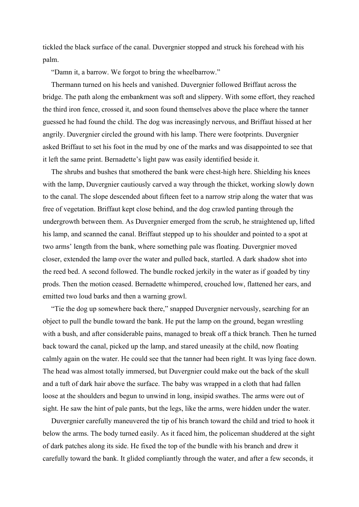tickled the black surface of the canal. Duvergnier stopped and struck his forehead with his palm.

"Damn it, a barrow. We forgot to bring the wheelbarrow."

Thermann turned on his heels and vanished. Duvergnier followed Briffaut across the bridge. The path along the embankment was soft and slippery. With some effort, they reached the third iron fence, crossed it, and soon found themselves above the place where the tanner guessed he had found the child. The dog was increasingly nervous, and Briffaut hissed at her angrily. Duvergnier circled the ground with his lamp. There were footprints. Duvergnier asked Briffaut to set his foot in the mud by one of the marks and was disappointed to see that it left the same print. Bernadette's light paw was easily identified beside it.

The shrubs and bushes that smothered the bank were chest-high here. Shielding his knees with the lamp, Duvergnier cautiously carved a way through the thicket, working slowly down to the canal. The slope descended about fifteen feet to a narrow strip along the water that was free of vegetation. Briffaut kept close behind, and the dog crawled panting through the undergrowth between them. As Duvergnier emerged from the scrub, he straightened up, lifted his lamp, and scanned the canal. Briffaut stepped up to his shoulder and pointed to a spot at two arms' length from the bank, where something pale was floating. Duvergnier moved closer, extended the lamp over the water and pulled back, startled. A dark shadow shot into the reed bed. A second followed. The bundle rocked jerkily in the water as if goaded by tiny prods. Then the motion ceased. Bernadette whimpered, crouched low, flattened her ears, and emitted two loud barks and then a warning growl.

"Tie the dog up somewhere back there," snapped Duvergnier nervously, searching for an object to pull the bundle toward the bank. He put the lamp on the ground, began wrestling with a bush, and after considerable pains, managed to break off a thick branch. Then he turned back toward the canal, picked up the lamp, and stared uneasily at the child, now floating calmly again on the water. He could see that the tanner had been right. It was lying face down. The head was almost totally immersed, but Duvergnier could make out the back of the skull and a tuft of dark hair above the surface. The baby was wrapped in a cloth that had fallen loose at the shoulders and begun to unwind in long, insipid swathes. The arms were out of sight. He saw the hint of pale pants, but the legs, like the arms, were hidden under the water.

Duvergnier carefully maneuvered the tip of his branch toward the child and tried to hook it below the arms. The body turned easily. As it faced him, the policeman shuddered at the sight of dark patches along its side. He fixed the top of the bundle with his branch and drew it carefully toward the bank. It glided compliantly through the water, and after a few seconds, it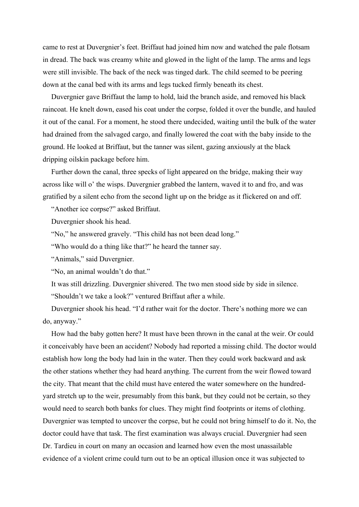came to rest at Duvergnier's feet. Briffaut had joined him now and watched the pale flotsam in dread. The back was creamy white and glowed in the light of the lamp. The arms and legs were still invisible. The back of the neck was tinged dark. The child seemed to be peering down at the canal bed with its arms and legs tucked firmly beneath its chest.

Duvergnier gave Briffaut the lamp to hold, laid the branch aside, and removed his black raincoat. He knelt down, eased his coat under the corpse, folded it over the bundle, and hauled it out of the canal. For a moment, he stood there undecided, waiting until the bulk of the water had drained from the salvaged cargo, and finally lowered the coat with the baby inside to the ground. He looked at Briffaut, but the tanner was silent, gazing anxiously at the black dripping oilskin package before him.

Further down the canal, three specks of light appeared on the bridge, making their way across like will o' the wisps. Duvergnier grabbed the lantern, waved it to and fro, and was gratified by a silent echo from the second light up on the bridge as it flickered on and off.

"Another ice corpse?" asked Briffaut.

Duvergnier shook his head.

"No," he answered gravely. "This child has not been dead long."

"Who would do a thing like that?" he heard the tanner say.

"Animals," said Duvergnier.

"No, an animal wouldn't do that."

It was still drizzling. Duvergnier shivered. The two men stood side by side in silence.

"Shouldn't we take a look?" ventured Briffaut after a while.

Duvergnier shook his head. "I'd rather wait for the doctor. There's nothing more we can do, anyway."

How had the baby gotten here? It must have been thrown in the canal at the weir. Or could it conceivably have been an accident? Nobody had reported a missing child. The doctor would establish how long the body had lain in the water. Then they could work backward and ask the other stations whether they had heard anything. The current from the weir flowed toward the city. That meant that the child must have entered the water somewhere on the hundredyard stretch up to the weir, presumably from this bank, but they could not be certain, so they would need to search both banks for clues. They might find footprints or items of clothing. Duvergnier was tempted to uncover the corpse, but he could not bring himself to do it. No, the doctor could have that task. The first examination was always crucial. Duvergnier had seen Dr. Tardieu in court on many an occasion and learned how even the most unassailable evidence of a violent crime could turn out to be an optical illusion once it was subjected to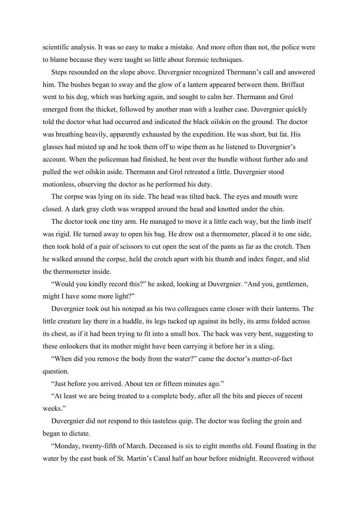scientific analysis. It was so easy to make a mistake. And more often than not, the police were to blame because they were taught so little about forensic techniques.

Steps resounded on the slope above. Duvergnier recognized Thermann's call and answered him. The bushes began to sway and the glow of a lantern appeared between them. Briffaut went to his dog, which was barking again, and sought to calm her. Thermann and Grol emerged from the thicket, followed by another man with a leather case. Duvergnier quickly told the doctor what had occurred and indicated the black oilskin on the ground. The doctor was breathing heavily, apparently exhausted by the expedition. He was short, but fat. His glasses had misted up and he took them off to wipe them as he listened to Duvergnier's account. When the policeman had finished, he bent over the bundle without further ado and pulled the wet oilskin aside. Thermann and Grol retreated a little. Duvergnier stood motionless, observing the doctor as he performed his duty.

The corpse was lying on its side. The head was tilted back. The eyes and mouth were closed. A dark gray cloth was wrapped around the head and knotted under the chin.

The doctor took one tiny arm. He managed to move it a little each way, but the limb itself was rigid. He turned away to open his bag. He drew out a thermometer, placed it to one side, then took hold of a pair of scissors to cut open the seat of the pants as far as the crotch. Then he walked around the corpse, held the crotch apart with his thumb and index finger, and slid the thermometer inside.

"Would you kindly record this?" he asked, looking at Duvergnier. "And you, gentlemen, might I have some more light?"

Duvergnier took out his notepad as his two colleagues came closer with their lanterns. The little creature lay there in a huddle, its legs tucked up against its belly, its arms folded across its chest, as if it had been trying to fit into a small box. The back was very bent, suggesting to these onlookers that its mother might have been carrying it before her in a sling.

"When did you remove the body from the water?" came the doctor's matter-of-fact question.

"Just before you arrived. About ten or fifteen minutes ago."

"At least we are being treated to a complete body, after all the bits and pieces of recent weeks."

Duvergnier did not respond to this tasteless quip. The doctor was feeling the groin and began to dictate.

"Monday, twenty-fifth of March. Deceased is six to eight months old. Found floating in the water by the east bank of St. Martin's Canal half an hour before midnight. Recovered without